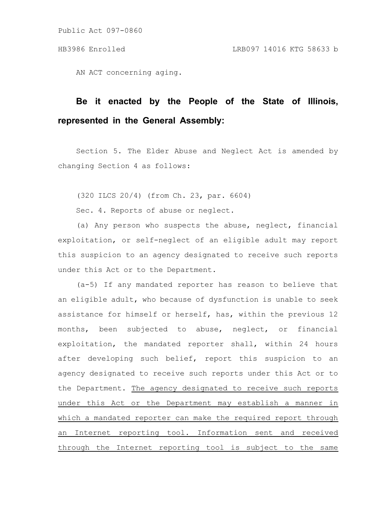AN ACT concerning aging.

## **Be it enacted by the People of the State of Illinois, represented in the General Assembly:**

Section 5. The Elder Abuse and Neglect Act is amended by changing Section 4 as follows:

(320 ILCS 20/4) (from Ch. 23, par. 6604)

Sec. 4. Reports of abuse or neglect.

(a) Any person who suspects the abuse, neglect, financial exploitation, or self-neglect of an eligible adult may report this suspicion to an agency designated to receive such reports under this Act or to the Department.

(a-5) If any mandated reporter has reason to believe that an eligible adult, who because of dysfunction is unable to seek assistance for himself or herself, has, within the previous 12 months, been subjected to abuse, neglect, or financial exploitation, the mandated reporter shall, within 24 hours after developing such belief, report this suspicion to an agency designated to receive such reports under this Act or to the Department. The agency designated to receive such reports under this Act or the Department may establish a manner in which a mandated reporter can make the required report through an Internet reporting tool. Information sent and received through the Internet reporting tool is subject to the same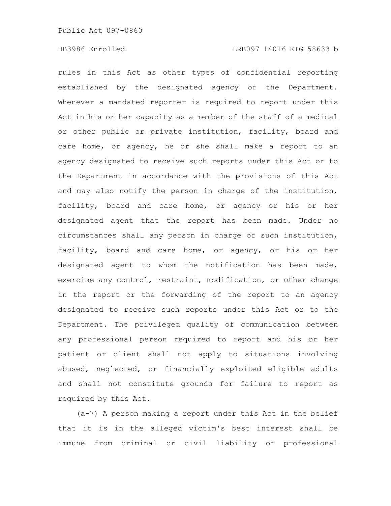rules in this Act as other types of confidential reporting established by the designated agency or the Department. Whenever a mandated reporter is required to report under this Act in his or her capacity as a member of the staff of a medical or other public or private institution, facility, board and care home, or agency, he or she shall make a report to an agency designated to receive such reports under this Act or to the Department in accordance with the provisions of this Act and may also notify the person in charge of the institution, facility, board and care home, or agency or his or her designated agent that the report has been made. Under no circumstances shall any person in charge of such institution, facility, board and care home, or agency, or his or her designated agent to whom the notification has been made, exercise any control, restraint, modification, or other change in the report or the forwarding of the report to an agency designated to receive such reports under this Act or to the Department. The privileged quality of communication between any professional person required to report and his or her patient or client shall not apply to situations involving abused, neglected, or financially exploited eligible adults and shall not constitute grounds for failure to report as required by this Act.

(a-7) A person making a report under this Act in the belief that it is in the alleged victim's best interest shall be immune from criminal or civil liability or professional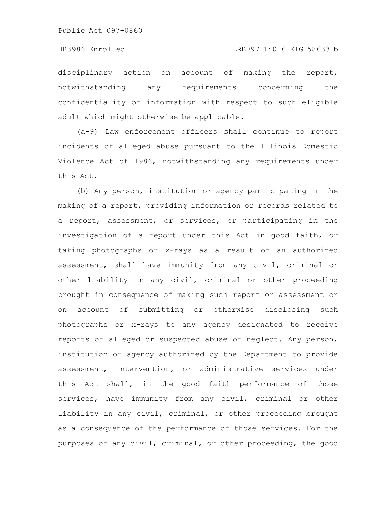disciplinary action on account of making the report, notwithstanding any requirements concerning the confidentiality of information with respect to such eligible adult which might otherwise be applicable.

(a-9) Law enforcement officers shall continue to report incidents of alleged abuse pursuant to the Illinois Domestic Violence Act of 1986, notwithstanding any requirements under this Act.

(b) Any person, institution or agency participating in the making of a report, providing information or records related to a report, assessment, or services, or participating in the investigation of a report under this Act in good faith, or taking photographs or x-rays as a result of an authorized assessment, shall have immunity from any civil, criminal or other liability in any civil, criminal or other proceeding brought in consequence of making such report or assessment or on account of submitting or otherwise disclosing such photographs or x-rays to any agency designated to receive reports of alleged or suspected abuse or neglect. Any person, institution or agency authorized by the Department to provide assessment, intervention, or administrative services under this Act shall, in the good faith performance of those services, have immunity from any civil, criminal or other liability in any civil, criminal, or other proceeding brought as a consequence of the performance of those services. For the purposes of any civil, criminal, or other proceeding, the good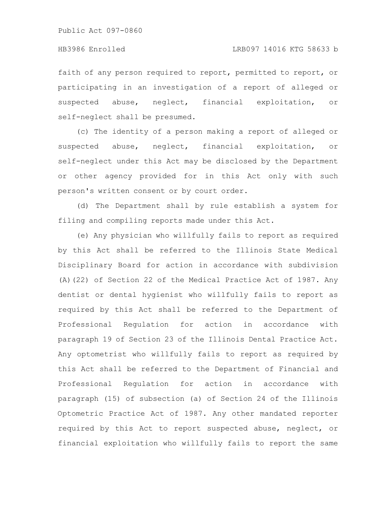faith of any person required to report, permitted to report, or participating in an investigation of a report of alleged or suspected abuse, neglect, financial exploitation, or self-neglect shall be presumed.

(c) The identity of a person making a report of alleged or suspected abuse, neglect, financial exploitation, or self-neglect under this Act may be disclosed by the Department or other agency provided for in this Act only with such person's written consent or by court order.

(d) The Department shall by rule establish a system for filing and compiling reports made under this Act.

(e) Any physician who willfully fails to report as required by this Act shall be referred to the Illinois State Medical Disciplinary Board for action in accordance with subdivision (A)(22) of Section 22 of the Medical Practice Act of 1987. Any dentist or dental hygienist who willfully fails to report as required by this Act shall be referred to the Department of Professional Regulation for action in accordance with paragraph 19 of Section 23 of the Illinois Dental Practice Act. Any optometrist who willfully fails to report as required by this Act shall be referred to the Department of Financial and Professional Regulation for action in accordance with paragraph (15) of subsection (a) of Section 24 of the Illinois Optometric Practice Act of 1987. Any other mandated reporter required by this Act to report suspected abuse, neglect, or financial exploitation who willfully fails to report the same